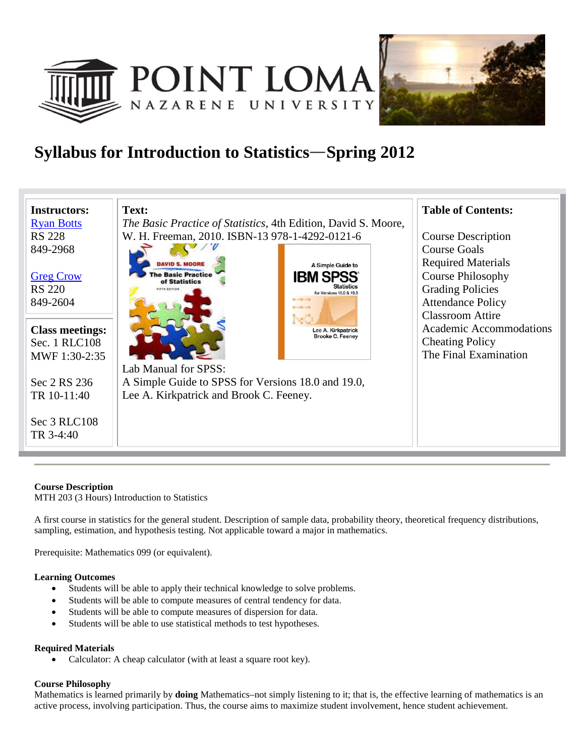



## **Syllabus for Introduction to Statistics Spring 2012**



### **Course Description**

MTH 203 (3 Hours) Introduction to Statistics

A first course in statistics for the general student. Description of sample data, probability theory, theoretical frequency distributions, sampling, estimation, and hypothesis testing. Not applicable toward a major in mathematics.

Prerequisite: Mathematics 099 (or equivalent).

#### **Learning Outcomes**

- Students will be able to apply their technical knowledge to solve problems.
- Students will be able to compute measures of central tendency for data.
- Students will be able to compute measures of dispersion for data.
- Students will be able to use statistical methods to test hypotheses.

#### **Required Materials**

Calculator: A cheap calculator (with at least a square root key).

#### **Course Philosophy**

Mathematics is learned primarily by **doing** Mathematics–not simply listening to it; that is, the effective learning of mathematics is an active process, involving participation. Thus, the course aims to maximize student involvement, hence student achievement.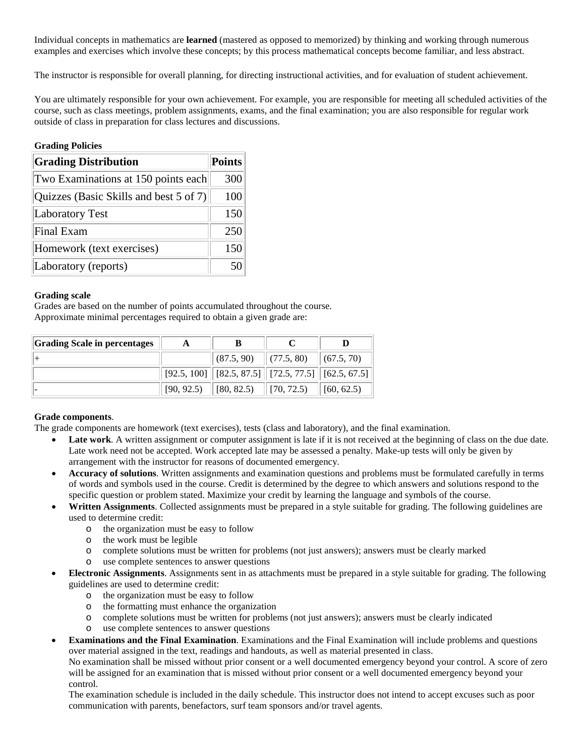Individual concepts in mathematics are **learned** (mastered as opposed to memorized) by thinking and working through numerous examples and exercises which involve these concepts; by this process mathematical concepts become familiar, and less abstract.

The instructor is responsible for overall planning, for directing instructional activities, and for evaluation of student achievement.

You are ultimately responsible for your own achievement. For example, you are responsible for meeting all scheduled activities of the course, such as class meetings, problem assignments, exams, and the final examination; you are also responsible for regular work outside of class in preparation for class lectures and discussions.

#### **Grading Policies**

| <b>Grading Distribution</b>            | <b>Points</b> |  |
|----------------------------------------|---------------|--|
| Two Examinations at 150 points each    | 300           |  |
| Quizzes (Basic Skills and best 5 of 7) | 100           |  |
| <b>Laboratory Test</b>                 | 150           |  |
| <b>Final Exam</b>                      | 250           |  |
| Homework (text exercises)              | 150           |  |
| Laboratory (reports)                   |               |  |

#### **Grading scale**

Grades are based on the number of points accumulated throughout the course. Approximate minimal percentages required to obtain a given grade are:

| <b>Grading Scale in percentages</b> |                           |                                                            |                                           |            |  |
|-------------------------------------|---------------------------|------------------------------------------------------------|-------------------------------------------|------------|--|
|                                     |                           |                                                            | $ (87.5, 90)$ $ (77.5, 80)$ $ (67.5, 70)$ |            |  |
|                                     |                           | $[92.5, 100]$ $[82.5, 87.5]$ $[72.5, 77.5]$ $[62.5, 67.5]$ |                                           |            |  |
|                                     | $[90, 92.5)$ $[80, 82.5)$ |                                                            | $\vert$ [70, 72.5)                        | (60, 62.5) |  |

### **Grade components**.

The grade components are homework (text exercises), tests (class and laboratory), and the final examination.

- Late work. A written assignment or computer assignment is late if it is not received at the beginning of class on the due date. Late work need not be accepted. Work accepted late may be assessed a penalty. Make-up tests will only be given by arrangement with the instructor for reasons of documented emergency.
- **Accuracy of solutions**. Written assignments and examination questions and problems must be formulated carefully in terms of words and symbols used in the course. Credit is determined by the degree to which answers and solutions respond to the specific question or problem stated. Maximize your credit by learning the language and symbols of the course.
- **Written Assignments**. Collected assignments must be prepared in a style suitable for grading. The following guidelines are used to determine credit:
	- o the organization must be easy to follow
	- o the work must be legible
	- o complete solutions must be written for problems (not just answers); answers must be clearly marked
	- o use complete sentences to answer questions
- **Electronic Assignments**. Assignments sent in as attachments must be prepared in a style suitable for grading. The following guidelines are used to determine credit:
	- o the organization must be easy to follow
	- o the formatting must enhance the organization
	- o complete solutions must be written for problems (not just answers); answers must be clearly indicated
	- use complete sentences to answer questions
- **Examinations and the Final Examination**. Examinations and the Final Examination will include problems and questions over material assigned in the text, readings and handouts, as well as material presented in class.

No examination shall be missed without prior consent or a well documented emergency beyond your control. A score of zero will be assigned for an examination that is missed without prior consent or a well documented emergency beyond your control.

The examination schedule is included in the daily schedule. This instructor does not intend to accept excuses such as poor communication with parents, benefactors, surf team sponsors and/or travel agents.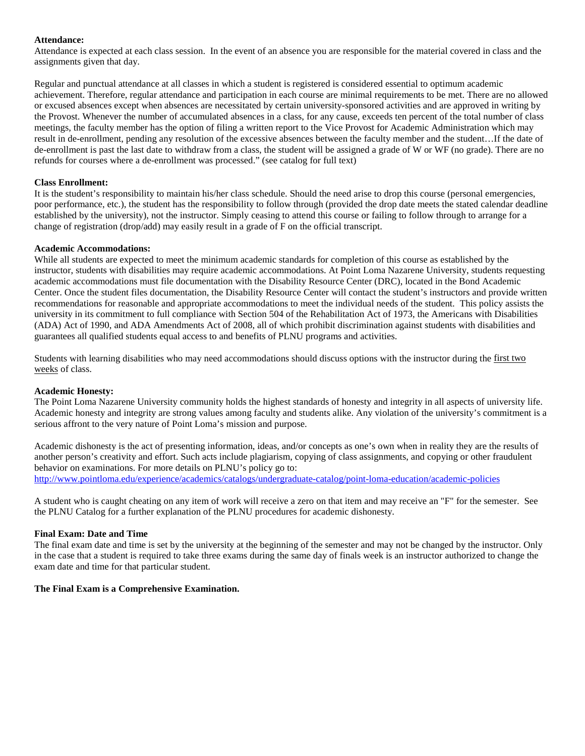#### **Attendance:**

Attendance is expected at each class session. In the event of an absence you are responsible for the material covered in class and the assignments given that day.

Regular and punctual attendance at all classes in which a student is registered is considered essential to optimum academic achievement. Therefore, regular attendance and participation in each course are minimal requirements to be met. There are no allowed or excused absences except when absences are necessitated by certain university-sponsored activities and are approved in writing by the Provost. Whenever the number of accumulated absences in a class, for any cause, exceeds ten percent of the total number of class meetings, the faculty member has the option of filing a written report to the Vice Provost for Academic Administration which may result in de-enrollment, pending any resolution of the excessive absences between the faculty member and the student…If the date of de-enrollment is past the last date to withdraw from a class, the student will be assigned a grade of W or WF (no grade). There are no refunds for courses where a de-enrollment was processed." (see catalog for full text)

#### **Class Enrollment:**

It is the student's responsibility to maintain his/her class schedule. Should the need arise to drop this course (personal emergencies, poor performance, etc.), the student has the responsibility to follow through (provided the drop date meets the stated calendar deadline established by the university), not the instructor. Simply ceasing to attend this course or failing to follow through to arrange for a change of registration (drop/add) may easily result in a grade of F on the official transcript.

#### **Academic Accommodations:**

While all students are expected to meet the minimum academic standards for completion of this course as established by the instructor, students with disabilities may require academic accommodations. At Point Loma Nazarene University, students requesting academic accommodations must file documentation with the Disability Resource Center (DRC), located in the Bond Academic Center. Once the student files documentation, the Disability Resource Center will contact the student's instructors and provide written recommendations for reasonable and appropriate accommodations to meet the individual needs of the student. This policy assists the university in its commitment to full compliance with Section 504 of the Rehabilitation Act of 1973, the Americans with Disabilities (ADA) Act of 1990, and ADA Amendments Act of 2008, all of which prohibit discrimination against students with disabilities and guarantees all qualified students equal access to and benefits of PLNU programs and activities.

Students with learning disabilities who may need accommodations should discuss options with the instructor during the first two weeks of class.

#### **Academic Honesty:**

The Point Loma Nazarene University community holds the highest standards of honesty and integrity in all aspects of university life. Academic honesty and integrity are strong values among faculty and students alike. Any violation of the university's commitment is a serious affront to the very nature of Point Loma's mission and purpose.

Academic dishonesty is the act of presenting information, ideas, and/or concepts as one's own when in reality they are the results of another person's creativity and effort. Such acts include plagiarism, copying of class assignments, and copying or other fraudulent behavior on examinations. For more details on PLNU's policy go to: <http://www.pointloma.edu/experience/academics/catalogs/undergraduate-catalog/point-loma-education/academic-policies>

A student who is caught cheating on any item of work will receive a zero on that item and may receive an "F" for the semester. See the PLNU Catalog for a further explanation of the PLNU procedures for academic dishonesty.

#### **Final Exam: Date and Time**

The final exam date and time is set by the university at the beginning of the semester and may not be changed by the instructor. Only in the case that a student is required to take three exams during the same day of finals week is an instructor authorized to change the exam date and time for that particular student.

#### **The Final Exam is a Comprehensive Examination.**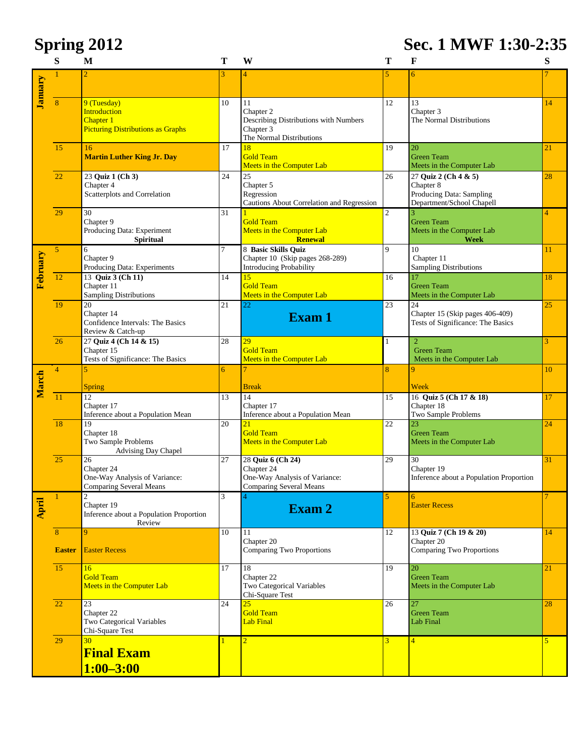# **Spring 2012 Sec. 1 MWF 1:30-2:35**

|          | S               | M                                                               | Т            | W                                                               | т              | F                                              | S              |
|----------|-----------------|-----------------------------------------------------------------|--------------|-----------------------------------------------------------------|----------------|------------------------------------------------|----------------|
|          |                 |                                                                 |              | $\overline{4}$                                                  |                | 6                                              |                |
| January  |                 |                                                                 |              |                                                                 |                |                                                |                |
|          | 8               | 9 (Tuesday)                                                     | 10           | 11                                                              | 12             | 13                                             | 14             |
|          |                 | <b>Introduction</b><br>Chapter 1                                |              | Chapter 2                                                       |                | Chapter 3<br>The Normal Distributions          |                |
|          |                 | <b>Picturing Distributions as Graphs</b>                        |              | Describing Distributions with Numbers<br>Chapter 3              |                |                                                |                |
|          |                 |                                                                 |              | The Normal Distributions                                        |                |                                                |                |
|          | 15              | 16<br><b>Martin Luther King Jr. Day</b>                         | 17           | 18<br><b>Gold Team</b>                                          | 19             | 20<br><b>Green Team</b>                        | 21             |
|          |                 |                                                                 |              | Meets in the Computer Lab                                       |                | Meets in the Computer Lab                      |                |
|          | 22              | 23 Quiz 1 (Ch 3)                                                | 24           | 25                                                              | 26             | 27 Quiz 2 (Ch 4 & 5)                           | 28             |
|          |                 | Chapter 4<br>Scatterplots and Correlation                       |              | Chapter 5<br>Regression                                         |                | Chapter 8<br>Producing Data: Sampling          |                |
|          |                 |                                                                 |              | Cautions About Correlation and Regression                       |                | Department/School Chapell                      |                |
|          | 29              | 30                                                              | 31           |                                                                 | $\overline{2}$ |                                                | 4              |
|          |                 | Chapter 9<br>Producing Data: Experiment                         |              | <b>Gold Team</b><br>Meets in the Computer Lab                   |                | <b>Green Team</b><br>Meets in the Computer Lab |                |
|          |                 | <b>Spiritual</b>                                                |              | <b>Renewal</b>                                                  |                | <b>Week</b>                                    |                |
|          | $\overline{5}$  | 6<br>Chapter 9                                                  | 7            | 8 Basic Skills Quiz<br>Chapter 10 (Skip pages 268-289)          | $\mathbf{Q}$   | 10<br>Chapter 11                               | 11             |
|          |                 | Producing Data: Experiments                                     |              | Introducing Probability                                         |                | <b>Sampling Distributions</b>                  |                |
| February | 12              | 13 Quiz 3 (Ch 11)                                               | 14           | 15                                                              | 16             | 17                                             | 18             |
|          |                 | Chapter 11<br><b>Sampling Distributions</b>                     |              | <b>Gold Team</b><br>Meets in the Computer Lab                   |                | <b>Green Team</b><br>Meets in the Computer Lab |                |
|          | 19              | $\overline{20}$                                                 | 21           | 22                                                              | 23             | 24                                             | 25             |
|          |                 | Chapter 14                                                      |              | Exam 1                                                          |                | Chapter 15 (Skip pages 406-409)                |                |
|          |                 | Confidence Intervals: The Basics<br>Review & Catch-up           |              |                                                                 |                | Tests of Significance: The Basics              |                |
|          | 26              | 27 Quiz 4 (Ch 14 & 15)                                          | 28           | 29                                                              | $\mathbf{1}$   | $\overline{2}$                                 | 3              |
|          |                 | Chapter 15<br>Tests of Significance: The Basics                 |              | <b>Gold Team</b><br>Meets in the Computer Lab                   |                | <b>Green Team</b><br>Meets in the Computer Lab |                |
|          | $\overline{4}$  |                                                                 | 6            |                                                                 | 8              | 9                                              | 10             |
| March    |                 |                                                                 |              |                                                                 |                |                                                |                |
|          | $\overline{11}$ | Spring<br>$\overline{12}$                                       | 13           | <b>Break</b><br>14                                              | 15             | Week<br>16 Quiz 5 (Ch 17 & 18)                 | 17             |
|          |                 | Chapter 17                                                      |              | Chapter 17                                                      |                | Chapter 18                                     |                |
|          | $\overline{18}$ | Inference about a Population Mean<br>19                         | 20           | Inference about a Population Mean<br>21                         | 22             | Two Sample Problems<br>23                      | 24             |
|          |                 | Chapter 18                                                      |              | <b>Gold Team</b>                                                |                | <b>Green Team</b>                              |                |
|          |                 | Two Sample Problems                                             |              | Meets in the Computer Lab                                       |                | Meets in the Computer Lab                      |                |
|          | 25              | <b>Advising Day Chapel</b><br>26                                | 27           | 28 Quiz 6 (Ch 24)                                               | 29             | 30                                             | 31             |
|          |                 | Chapter 24                                                      |              | Chapter 24                                                      |                | Chapter 19                                     |                |
|          |                 | One-Way Analysis of Variance:<br><b>Comparing Several Means</b> |              | One-Way Analysis of Variance:<br><b>Comparing Several Means</b> |                | Inference about a Population Proportion        |                |
|          | $\mathbf{1}$    | $\overline{c}$                                                  | 3            |                                                                 | 5              | 6                                              | 7              |
| April    |                 | Chapter 19                                                      |              | Exam 2                                                          |                | <b>Easter Recess</b>                           |                |
|          |                 | Inference about a Population Proportion<br>Review               |              |                                                                 |                |                                                |                |
|          | 8               | 9                                                               | 10           | 11                                                              | 12             | 13 Quiz 7 (Ch 19 & 20)                         | 14             |
|          | <b>Easter</b>   | <b>Easter Recess</b>                                            |              | Chapter 20<br>Comparing Two Proportions                         |                | Chapter 20<br><b>Comparing Two Proportions</b> |                |
|          |                 |                                                                 |              |                                                                 |                |                                                |                |
|          | $\overline{15}$ | 16<br><b>Gold Team</b>                                          | 17           | 18<br>Chapter 22                                                | 19             | 20<br><b>Green Team</b>                        | 21             |
|          |                 | <b>Meets in the Computer Lab</b>                                |              | Two Categorical Variables                                       |                | Meets in the Computer Lab                      |                |
|          |                 |                                                                 |              | Chi-Square Test                                                 |                |                                                |                |
|          | $\overline{22}$ | 23<br>Chapter 22                                                | 24           | 25<br><b>Gold Team</b>                                          | 26             | 27<br><b>Green Team</b>                        | 28             |
|          |                 | Two Categorical Variables                                       |              | Lab Final                                                       |                | Lab Final                                      |                |
|          |                 | Chi-Square Test<br>30                                           |              |                                                                 |                |                                                |                |
|          | 29              |                                                                 | $\mathbf{1}$ | $\overline{2}$                                                  | $\overline{3}$ | $\overline{\mathbf{4}}$                        | $\overline{5}$ |
|          |                 | <b>Final Exam</b>                                               |              |                                                                 |                |                                                |                |
|          |                 | $1:00 - 3:00$                                                   |              |                                                                 |                |                                                |                |